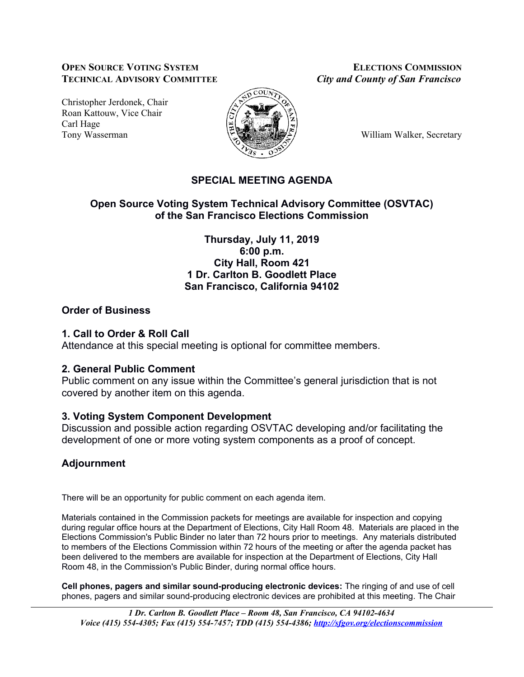### **OPEN SOURCE VOTING SYSTEM ELECTIONS COMMISSION TECHNICAL ADVISORY COMMITTEE** *City and County of San Francisco*

Christopher Jerdonek, Chair Roan Kattouw, Vice Chair Carl Hage Tony Wasserman William Walker, Secretary



# **SPECIAL MEETING AGENDA**

## **Open Source Voting System Technical Advisory Committee (OSVTAC) of the San Francisco Elections Commission**

**Thursday, July 11, 2019 6:00 p.m. City Hall, Room 421 1 Dr. Carlton B. Goodlett Place San Francisco, California 94102**

### **Order of Business**

## **1. Call to Order & Roll Call**

Attendance at this special meeting is optional for committee members.

### **2. General Public Comment**

Public comment on any issue within the Committee's general jurisdiction that is not covered by another item on this agenda.

# **3. Voting System Component Development**

Discussion and possible action regarding OSVTAC developing and/or facilitating the development of one or more voting system components as a proof of concept.

# **Adjournment**

There will be an opportunity for public comment on each agenda item.

Materials contained in the Commission packets for meetings are available for inspection and copying during regular office hours at the Department of Elections, City Hall Room 48. Materials are placed in the Elections Commission's Public Binder no later than 72 hours prior to meetings. Any materials distributed to members of the Elections Commission within 72 hours of the meeting or after the agenda packet has been delivered to the members are available for inspection at the Department of Elections, City Hall Room 48, in the Commission's Public Binder, during normal office hours.

**Cell phones, pagers and similar sound-producing electronic devices:** The ringing of and use of cell phones, pagers and similar sound-producing electronic devices are prohibited at this meeting. The Chair